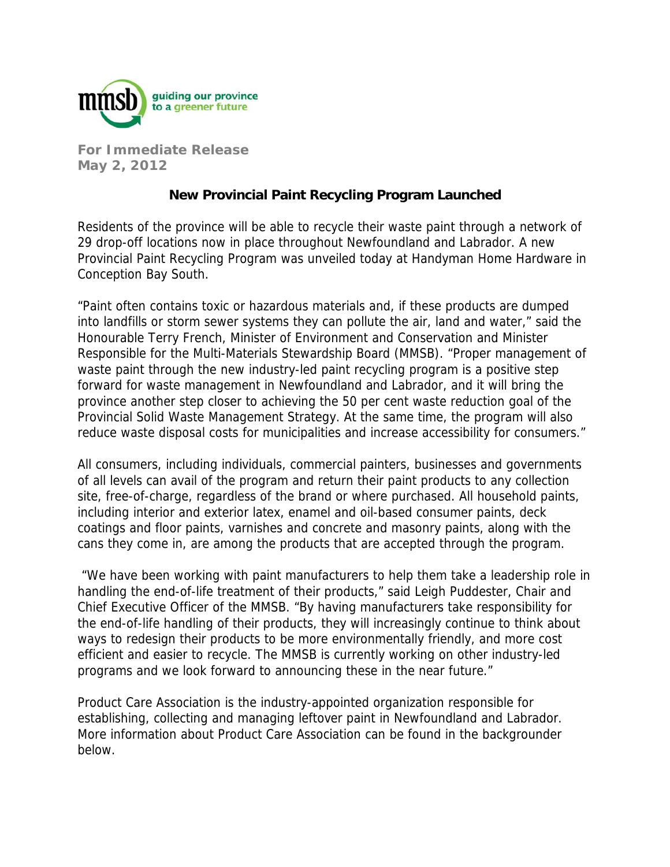

**For Immediate Release May 2, 2012** 

## **New Provincial Paint Recycling Program Launched**

Residents of the province will be able to recycle their waste paint through a network of 29 drop-off locations now in place throughout Newfoundland and Labrador. A new Provincial Paint Recycling Program was unveiled today at Handyman Home Hardware in Conception Bay South.

"Paint often contains toxic or hazardous materials and, if these products are dumped into landfills or storm sewer systems they can pollute the air, land and water," said the Honourable Terry French, Minister of Environment and Conservation and Minister Responsible for the Multi-Materials Stewardship Board (MMSB). "Proper management of waste paint through the new industry-led paint recycling program is a positive step forward for waste management in Newfoundland and Labrador, and it will bring the province another step closer to achieving the 50 per cent waste reduction goal of the Provincial Solid Waste Management Strategy. At the same time, the program will also reduce waste disposal costs for municipalities and increase accessibility for consumers."

All consumers, including individuals, commercial painters, businesses and governments of all levels can avail of the program and return their paint products to any collection site, free-of-charge, regardless of the brand or where purchased. All household paints, including interior and exterior latex, enamel and oil-based consumer paints, deck coatings and floor paints, varnishes and concrete and masonry paints, along with the cans they come in, are among the products that are accepted through the program.

 "We have been working with paint manufacturers to help them take a leadership role in handling the end-of-life treatment of their products," said Leigh Puddester, Chair and Chief Executive Officer of the MMSB. "By having manufacturers take responsibility for the end-of-life handling of their products, they will increasingly continue to think about ways to redesign their products to be more environmentally friendly, and more cost efficient and easier to recycle. The MMSB is currently working on other industry-led programs and we look forward to announcing these in the near future."

Product Care Association is the industry-appointed organization responsible for establishing, collecting and managing leftover paint in Newfoundland and Labrador. More information about Product Care Association can be found in the backgrounder below.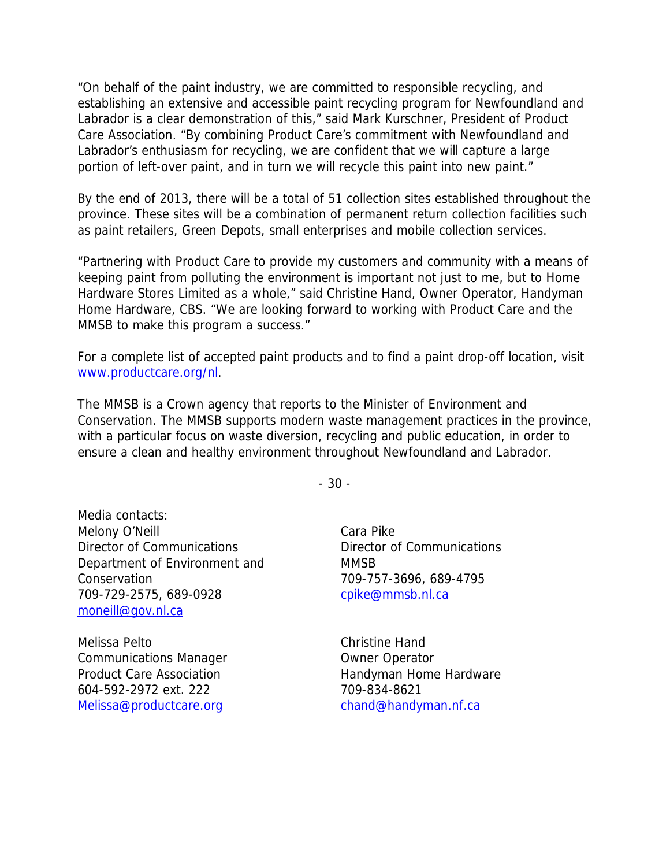"On behalf of the paint industry, we are committed to responsible recycling, and establishing an extensive and accessible paint recycling program for Newfoundland and Labrador is a clear demonstration of this," said Mark Kurschner, President of Product Care Association. "By combining Product Care's commitment with Newfoundland and Labrador's enthusiasm for recycling, we are confident that we will capture a large portion of left-over paint, and in turn we will recycle this paint into new paint."

By the end of 2013, there will be a total of 51 collection sites established throughout the province. These sites will be a combination of permanent return collection facilities such as paint retailers, Green Depots, small enterprises and mobile collection services.

"Partnering with Product Care to provide my customers and community with a means of keeping paint from polluting the environment is important not just to me, but to Home Hardware Stores Limited as a whole," said Christine Hand, Owner Operator, Handyman Home Hardware, CBS. "We are looking forward to working with Product Care and the MMSB to make this program a success."

For a complete list of accepted paint products and to find a paint drop-off location, visit www.productcare.org/nl.

The MMSB is a Crown agency that reports to the Minister of Environment and Conservation. The MMSB supports modern waste management practices in the province, with a particular focus on waste diversion, recycling and public education, in order to ensure a clean and healthy environment throughout Newfoundland and Labrador.

- 30 -

Media contacts: Melony O'Neill Director of Communications Department of Environment and Conservation 709-729-2575, 689-0928 moneill@gov.nl.ca

Melissa Pelto Communications Manager Product Care Association 604-592-2972 ext. 222 Melissa@productcare.org

Cara Pike Director of Communications **MMSB** 709-757-3696, 689-4795 cpike@mmsb.nl.ca

Christine Hand Owner Operator Handyman Home Hardware 709-834-8621 chand@handyman.nf.ca